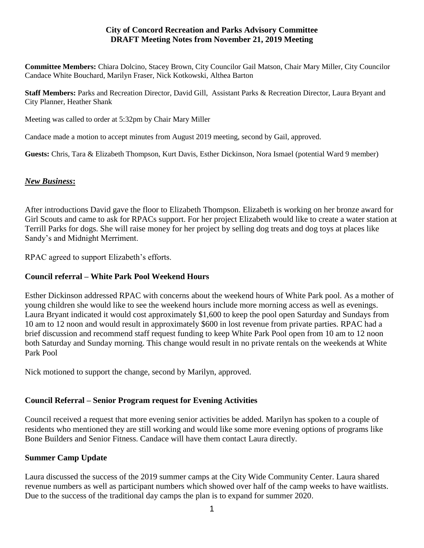### **City of Concord Recreation and Parks Advisory Committee DRAFT Meeting Notes from November 21, 2019 Meeting**

**Committee Members:** Chiara Dolcino, Stacey Brown, City Councilor Gail Matson, Chair Mary Miller, City Councilor Candace White Bouchard, Marilyn Fraser, Nick Kotkowski, Althea Barton

**Staff Members:** Parks and Recreation Director, David Gill, Assistant Parks & Recreation Director, Laura Bryant and City Planner, Heather Shank

Meeting was called to order at 5:32pm by Chair Mary Miller

Candace made a motion to accept minutes from August 2019 meeting, second by Gail, approved.

**Guests:** Chris, Tara & Elizabeth Thompson, Kurt Davis, Esther Dickinson, Nora Ismael (potential Ward 9 member)

#### *New Business***:**

After introductions David gave the floor to Elizabeth Thompson. Elizabeth is working on her bronze award for Girl Scouts and came to ask for RPACs support. For her project Elizabeth would like to create a water station at Terrill Parks for dogs. She will raise money for her project by selling dog treats and dog toys at places like Sandy's and Midnight Merriment.

RPAC agreed to support Elizabeth's efforts.

### **Council referral – White Park Pool Weekend Hours**

Esther Dickinson addressed RPAC with concerns about the weekend hours of White Park pool. As a mother of young children she would like to see the weekend hours include more morning access as well as evenings. Laura Bryant indicated it would cost approximately \$1,600 to keep the pool open Saturday and Sundays from 10 am to 12 noon and would result in approximately \$600 in lost revenue from private parties. RPAC had a brief discussion and recommend staff request funding to keep White Park Pool open from 10 am to 12 noon both Saturday and Sunday morning. This change would result in no private rentals on the weekends at White Park Pool

Nick motioned to support the change, second by Marilyn, approved.

# **Council Referral – Senior Program request for Evening Activities**

Council received a request that more evening senior activities be added. Marilyn has spoken to a couple of residents who mentioned they are still working and would like some more evening options of programs like Bone Builders and Senior Fitness. Candace will have them contact Laura directly.

#### **Summer Camp Update**

Laura discussed the success of the 2019 summer camps at the City Wide Community Center. Laura shared revenue numbers as well as participant numbers which showed over half of the camp weeks to have waitlists. Due to the success of the traditional day camps the plan is to expand for summer 2020.